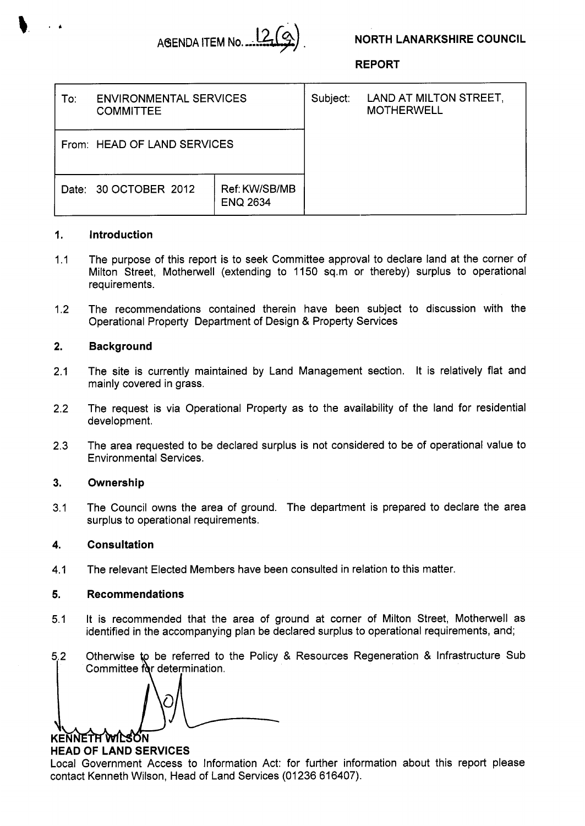

## **NORTH LANARKSHIRE COUNCIL**

**REPORT** 

| To∶ | <b>ENVIRONMENTAL SERVICES</b><br><b>COMMITTEE</b> |                                  | Subject: | LAND AT MILTON STREET,<br><b>MOTHERWELL</b> |
|-----|---------------------------------------------------|----------------------------------|----------|---------------------------------------------|
|     | From: HEAD OF LAND SERVICES                       |                                  |          |                                             |
|     | Date: 30 OCTOBER 2012                             | Ref: KW/SB/MB<br><b>ENQ 2634</b> |          |                                             |

## **1. Introduction**

- 1.1 The purpose of this report is to seek Committee approval to declare land at the corner of Milton Street, Motherwell (extending to 1150 sq.m or thereby) surplus to operational requirements.
- 1.2 The recommendations contained therein have been subject to discussion with the Operational Property Department of Design & Property Services

## **2. Background**

- 2.1 The site is currently maintained by Land Management section. It is relatively flat and mainly covered in grass.
- 2.2 The request is via Operational Property as to the availability of the land for residential development.
- 2.3 The area requested to be declared surplus is not considered to be of operational value to Environmental Services.

#### **3. Ownership**

3.1 The Council owns the area of ground. The department is prepared to declare the area surplus to operational requirements.

#### **4. Consultation**

4.1 The relevant Elected Members have been consulted in relation to this matter.

#### **5. Recommendations**

- 5.1 It is recommended that the area of ground at corner of Milton Street, Motherwell as identified in the accompanying plan be declared surplus to operational requirements, and;
- **5.2**  I Committee for determination. Otherwise to be referred to the Policy & Resources Regeneration & Infrastructure Sub

KENNETH WILSON

# **HEAD OF LAND SERVICES**

Local Government Access to Information Act: for further information about this report please contact Kenneth Wilson, Head of Land Services (01236 616407).